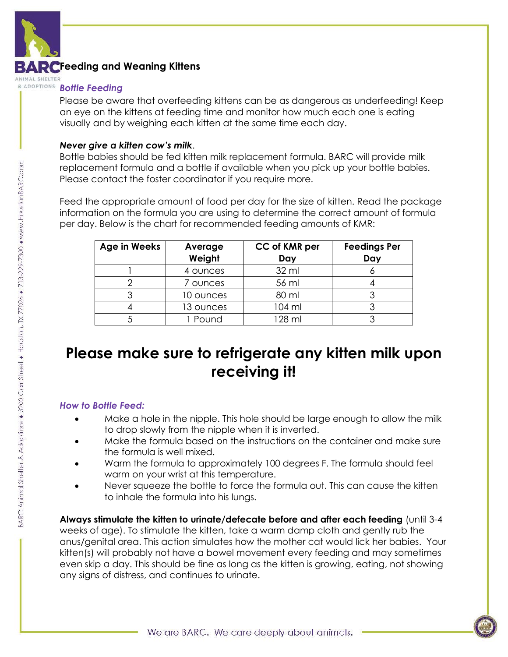

## **Feeding and Weaning Kittens**

ANIMAL SHELTE

## **Bottle Feeding**

Please be aware that overfeeding kittens can be as dangerous as underfeeding! Keep an eye on the kittens at feeding time and monitor how much each one is eating visually and by weighing each kitten at the same time each day.

### *Never give a kitten cow's milk*.

Bottle babies should be fed kitten milk replacement formula. BARC will provide milk replacement formula and a bottle if available when you pick up your bottle babies. Please contact the foster coordinator if you require more.

Feed the appropriate amount of food per day for the size of kitten. Read the package information on the formula you are using to determine the correct amount of formula per day. Below is the chart for recommended feeding amounts of KMR:

| Age in Weeks | Average   | CC of KMR per | <b>Feedings Per</b> |
|--------------|-----------|---------------|---------------------|
|              | Weight    | Day           | Day                 |
|              | 4 ounces  | 32 ml         |                     |
|              | 7 ounces  | 56 ml         |                     |
| 3            | 10 ounces | 80 ml         |                     |
|              | 13 ounces | 104 ml        |                     |
|              | Pound     | 128 ml        |                     |

# **Please make sure to refrigerate any kitten milk upon receiving it!**

### *How to Bottle Feed:*

- Make a hole in the nipple. This hole should be large enough to allow the milk to drop slowly from the nipple when it is inverted.
- Make the formula based on the instructions on the container and make sure the formula is well mixed.
- Warm the formula to approximately 100 degrees F. The formula should feel warm on your wrist at this temperature.
- Never squeeze the bottle to force the formula out. This can cause the kitten to inhale the formula into his lungs.

**Always stimulate the kitten to urinate/defecate before and after each feeding** (until 3-4 weeks of age). To stimulate the kitten, take a warm damp cloth and gently rub the anus/genital area. This action simulates how the mother cat would lick her babies. Your kitten(s) will probably not have a bowel movement every feeding and may sometimes even skip a day. This should be fine as long as the kitten is growing, eating, not showing any signs of distress, and continues to urinate.